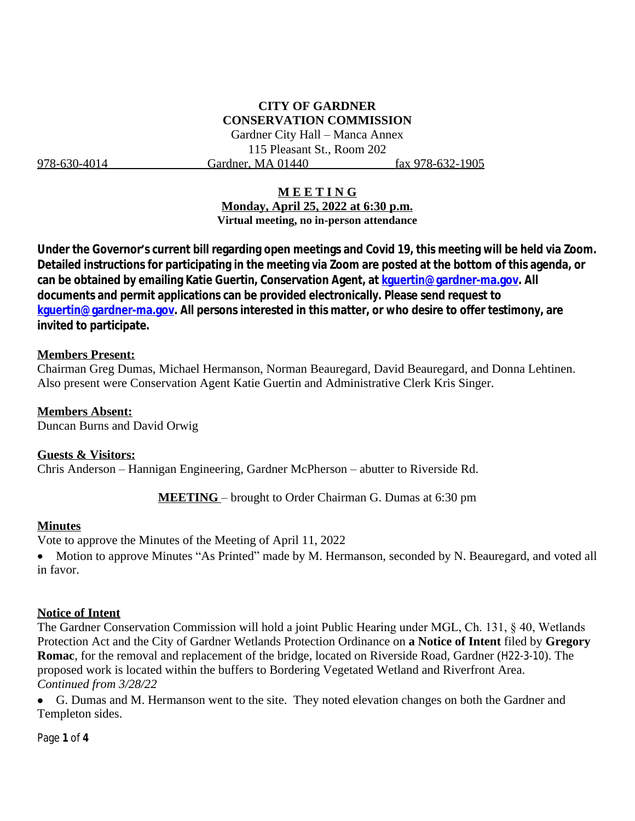# **CITY OF GARDNER CONSERVATION COMMISSION**

Gardner City Hall – Manca Annex 115 Pleasant St., Room 202 978-630-4014 Gardner, MA 01440 fax 978-632-1905

#### **M E E T I N G**

**Monday, April 25, 2022 at 6:30 p.m. Virtual meeting, no in-person attendance**

**Under the Governor's current bill regarding open meetings and Covid 19, this meeting will be held via Zoom. Detailed instructions for participating in the meeting via Zoom are posted at the bottom of this agenda, or can be obtained by emailing Katie Guertin, Conservation Agent, at [kguertin@gardner-ma.gov. All](mailto:kguertin@gardner-ma.gov)  [documents and permit applications can be provided electronically. Please send request to](mailto:kguertin@gardner-ma.gov)  [kguertin@gardner-ma.gov.](mailto:kguertin@gardner-ma.gov) All persons interested in this matter, or who desire to offer testimony, are invited to participate.**

#### **Members Present:**

Chairman Greg Dumas, Michael Hermanson, Norman Beauregard, David Beauregard, and Donna Lehtinen. Also present were Conservation Agent Katie Guertin and Administrative Clerk Kris Singer.

**Members Absent:** Duncan Burns and David Orwig

**Guests & Visitors:** Chris Anderson – Hannigan Engineering, Gardner McPherson – abutter to Riverside Rd.

**MEETING** – brought to Order Chairman G. Dumas at 6:30 pm

#### **Minutes**

Vote to approve the Minutes of the Meeting of April 11, 2022

• Motion to approve Minutes "As Printed" made by M. Hermanson, seconded by N. Beauregard, and voted all in favor.

#### **Notice of Intent**

The Gardner Conservation Commission will hold a joint Public Hearing under MGL, Ch. 131, § 40, Wetlands Protection Act and the City of Gardner Wetlands Protection Ordinance on **a Notice of Intent** filed by **Gregory Romac**, for the removal and replacement of the bridge, located on Riverside Road, Gardner (H22-3-10). The proposed work is located within the buffers to Bordering Vegetated Wetland and Riverfront Area. *Continued from 3/28/22*

 G. Dumas and M. Hermanson went to the site. They noted elevation changes on both the Gardner and Templeton sides.

Page **1** of **4**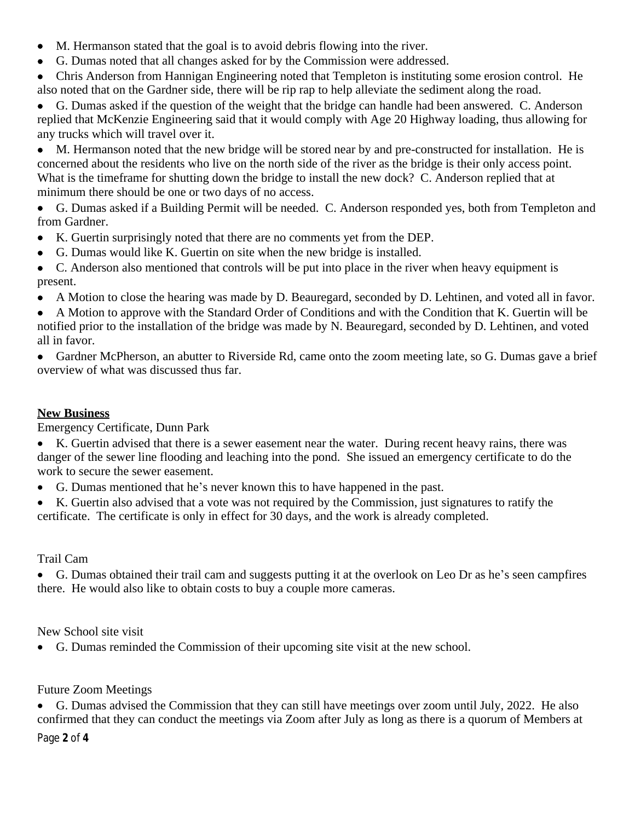- M. Hermanson stated that the goal is to avoid debris flowing into the river.
- G. Dumas noted that all changes asked for by the Commission were addressed.

 Chris Anderson from Hannigan Engineering noted that Templeton is instituting some erosion control. He also noted that on the Gardner side, there will be rip rap to help alleviate the sediment along the road.

 G. Dumas asked if the question of the weight that the bridge can handle had been answered. C. Anderson replied that McKenzie Engineering said that it would comply with Age 20 Highway loading, thus allowing for any trucks which will travel over it.

 M. Hermanson noted that the new bridge will be stored near by and pre-constructed for installation. He is concerned about the residents who live on the north side of the river as the bridge is their only access point. What is the timeframe for shutting down the bridge to install the new dock? C. Anderson replied that at minimum there should be one or two days of no access.

- G. Dumas asked if a Building Permit will be needed. C. Anderson responded yes, both from Templeton and from Gardner.
- K. Guertin surprisingly noted that there are no comments yet from the DEP.
- G. Dumas would like K. Guertin on site when the new bridge is installed.

 C. Anderson also mentioned that controls will be put into place in the river when heavy equipment is present.

A Motion to close the hearing was made by D. Beauregard, seconded by D. Lehtinen, and voted all in favor.

 A Motion to approve with the Standard Order of Conditions and with the Condition that K. Guertin will be notified prior to the installation of the bridge was made by N. Beauregard, seconded by D. Lehtinen, and voted all in favor.

 Gardner McPherson, an abutter to Riverside Rd, came onto the zoom meeting late, so G. Dumas gave a brief overview of what was discussed thus far.

# **New Business**

Emergency Certificate, Dunn Park

 K. Guertin advised that there is a sewer easement near the water. During recent heavy rains, there was danger of the sewer line flooding and leaching into the pond. She issued an emergency certificate to do the work to secure the sewer easement.

- G. Dumas mentioned that he's never known this to have happened in the past.
- K. Guertin also advised that a vote was not required by the Commission, just signatures to ratify the certificate. The certificate is only in effect for 30 days, and the work is already completed.

## Trail Cam

 G. Dumas obtained their trail cam and suggests putting it at the overlook on Leo Dr as he's seen campfires there. He would also like to obtain costs to buy a couple more cameras.

## New School site visit

G. Dumas reminded the Commission of their upcoming site visit at the new school.

## Future Zoom Meetings

 G. Dumas advised the Commission that they can still have meetings over zoom until July, 2022. He also confirmed that they can conduct the meetings via Zoom after July as long as there is a quorum of Members at

Page **2** of **4**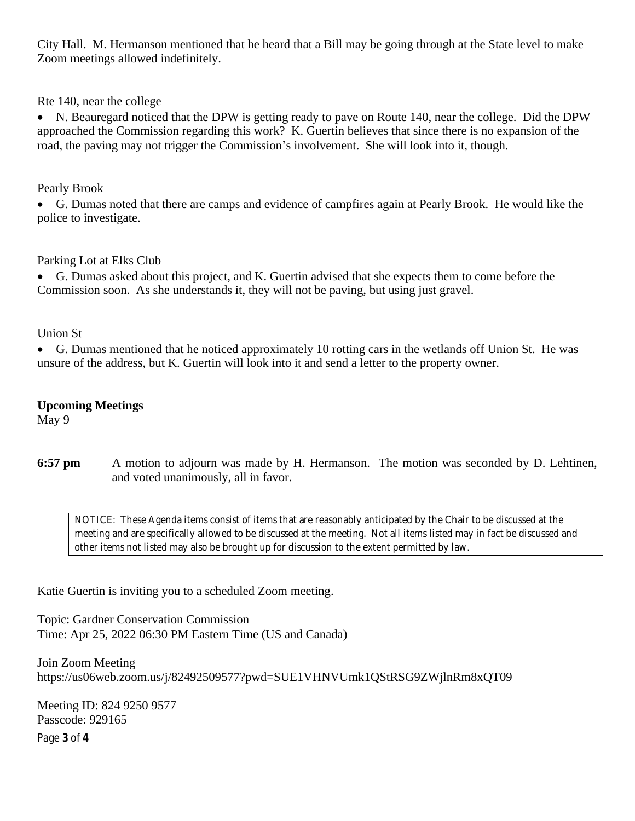City Hall. M. Hermanson mentioned that he heard that a Bill may be going through at the State level to make Zoom meetings allowed indefinitely.

Rte 140, near the college

 N. Beauregard noticed that the DPW is getting ready to pave on Route 140, near the college. Did the DPW approached the Commission regarding this work? K. Guertin believes that since there is no expansion of the road, the paving may not trigger the Commission's involvement. She will look into it, though.

Pearly Brook

 G. Dumas noted that there are camps and evidence of campfires again at Pearly Brook. He would like the police to investigate.

Parking Lot at Elks Club

 G. Dumas asked about this project, and K. Guertin advised that she expects them to come before the Commission soon. As she understands it, they will not be paving, but using just gravel.

Union St

 G. Dumas mentioned that he noticed approximately 10 rotting cars in the wetlands off Union St. He was unsure of the address, but K. Guertin will look into it and send a letter to the property owner.

### **Upcoming Meetings**

May 9

**6:57 pm** A motion to adjourn was made by H. Hermanson. The motion was seconded by D. Lehtinen, and voted unanimously, all in favor.

*NOTICE: These Agenda items consist of items that are reasonably anticipated by the Chair to be discussed at the meeting and are specifically allowed to be discussed at the meeting. Not all items listed may in fact be discussed and other items not listed may also be brought up for discussion to the extent permitted by law.*

Katie Guertin is inviting you to a scheduled Zoom meeting.

Topic: Gardner Conservation Commission Time: Apr 25, 2022 06:30 PM Eastern Time (US and Canada)

Join Zoom Meeting https://us06web.zoom.us/j/82492509577?pwd=SUE1VHNVUmk1QStRSG9ZWjlnRm8xQT09

Meeting ID: 824 9250 9577 Passcode: 929165

Page **3** of **4**